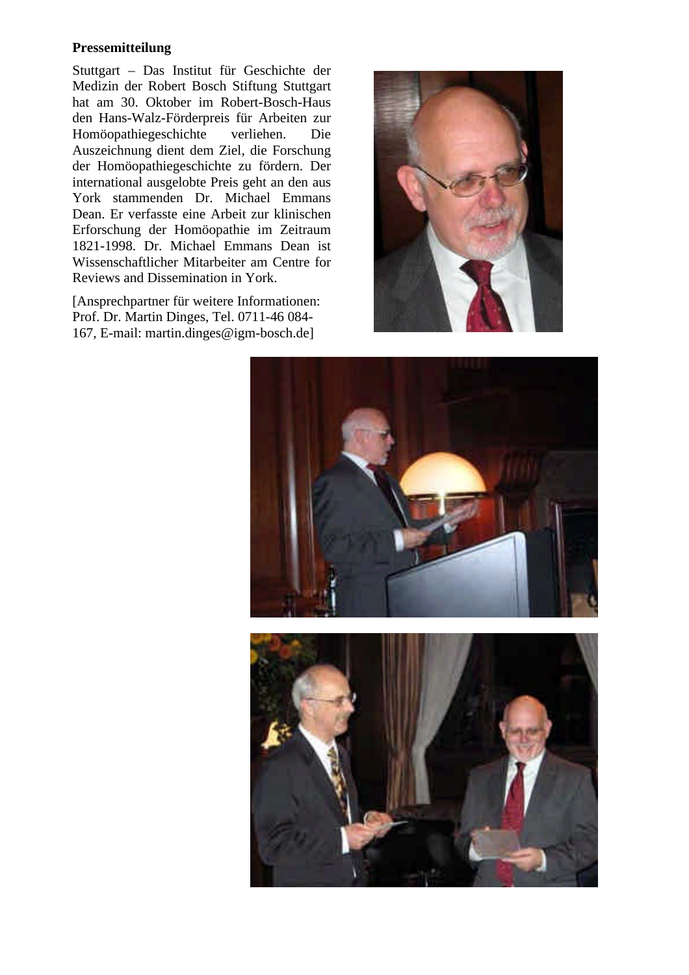## **Pressemitteilung**

Stuttgart – Das Institut für Geschichte der Medizin der Robert Bosch Stiftung Stuttgart hat am 30. Oktober im Robert-Bosch-Haus den Hans-Walz-Förderpreis für Arbeiten zur Homöopathiegeschichte verliehen. Die Auszeichnung dient dem Ziel, die Forschung der Homöopathiegeschichte zu fördern. Der international ausgelobte Preis geht an den aus York stammenden Dr. Michael Emmans Dean. Er verfasste eine Arbeit zur klinischen Erforschung der Homöopathie im Zeitraum 1821-1998. Dr. Michael Emmans Dean ist Wissenschaftlicher Mitarbeiter am Centre for Reviews and Dissemination in York.

[Ansprechpartner für weitere Informationen: Prof. Dr. Martin Dinges, Tel. 0711-46 084- 167, E-mail: martin.dinges@igm-bosch.de]